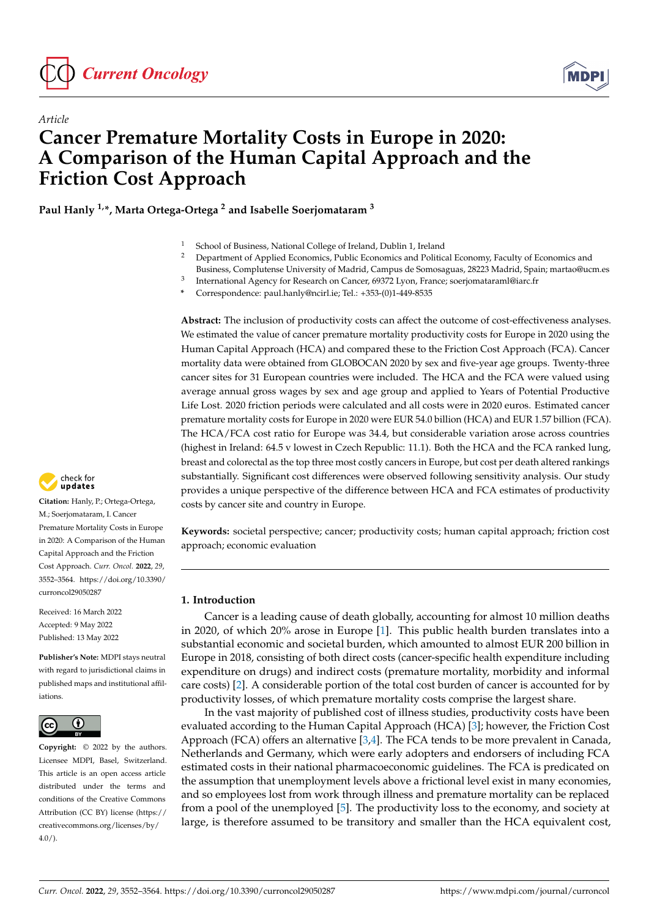



# *Article* **Cancer Premature Mortality Costs in Europe in 2020: A Comparison of the Human Capital Approach and the Friction Cost Approach**

**Paul Hanly 1,\*, Marta Ortega-Ortega <sup>2</sup> and Isabelle Soerjomataram <sup>3</sup>**

- <sup>1</sup> School of Business, National College of Ireland, Dublin 1, Ireland  $\frac{2}{5}$  Department of Applied Economies, Bublic Economies and Bolitic
- <sup>2</sup> Department of Applied Economics, Public Economics and Political Economy, Faculty of Economics and
- Business, Complutense University of Madrid, Campus de Somosaguas, 28223 Madrid, Spain; martao@ucm.es
- 3 International Agency for Research on Cancer, 69372 Lyon, France; soerjomataraml@iarc.fr
- **\*** Correspondence: paul.hanly@ncirl.ie; Tel.: +353-(0)1-449-8535

**Abstract:** The inclusion of productivity costs can affect the outcome of cost-effectiveness analyses. We estimated the value of cancer premature mortality productivity costs for Europe in 2020 using the Human Capital Approach (HCA) and compared these to the Friction Cost Approach (FCA). Cancer mortality data were obtained from GLOBOCAN 2020 by sex and five-year age groups. Twenty-three cancer sites for 31 European countries were included. The HCA and the FCA were valued using average annual gross wages by sex and age group and applied to Years of Potential Productive Life Lost. 2020 friction periods were calculated and all costs were in 2020 euros. Estimated cancer premature mortality costs for Europe in 2020 were EUR 54.0 billion (HCA) and EUR 1.57 billion (FCA). The HCA/FCA cost ratio for Europe was 34.4, but considerable variation arose across countries (highest in Ireland: 64.5 v lowest in Czech Republic: 11.1). Both the HCA and the FCA ranked lung, breast and colorectal as the top three most costly cancers in Europe, but cost per death altered rankings substantially. Significant cost differences were observed following sensitivity analysis. Our study provides a unique perspective of the difference between HCA and FCA estimates of productivity costs by cancer site and country in Europe.

**Keywords:** societal perspective; cancer; productivity costs; human capital approach; friction cost approach; economic evaluation

# **1. Introduction**

Cancer is a leading cause of death globally, accounting for almost 10 million deaths in 2020, of which 20% arose in Europe [\[1\]](#page-11-0). This public health burden translates into a substantial economic and societal burden, which amounted to almost EUR 200 billion in Europe in 2018, consisting of both direct costs (cancer-specific health expenditure including expenditure on drugs) and indirect costs (premature mortality, morbidity and informal care costs) [\[2\]](#page-11-1). A considerable portion of the total cost burden of cancer is accounted for by productivity losses, of which premature mortality costs comprise the largest share.

In the vast majority of published cost of illness studies, productivity costs have been evaluated according to the Human Capital Approach (HCA) [\[3\]](#page-11-2); however, the Friction Cost Approach (FCA) offers an alternative [\[3](#page-11-2)[,4\]](#page-11-3). The FCA tends to be more prevalent in Canada, Netherlands and Germany, which were early adopters and endorsers of including FCA estimated costs in their national pharmacoeconomic guidelines. The FCA is predicated on the assumption that unemployment levels above a frictional level exist in many economies, and so employees lost from work through illness and premature mortality can be replaced from a pool of the unemployed [\[5\]](#page-11-4). The productivity loss to the economy, and society at large, is therefore assumed to be transitory and smaller than the HCA equivalent cost,



**Citation:** Hanly, P.; Ortega-Ortega, M.; Soerjomataram, I. Cancer Premature Mortality Costs in Europe in 2020: A Comparison of the Human Capital Approach and the Friction Cost Approach. *Curr. Oncol.* **2022**, *29*, 3552–3564. [https://doi.org/10.3390/](https://doi.org/10.3390/curroncol29050287) [curroncol29050287](https://doi.org/10.3390/curroncol29050287)

Received: 16 March 2022 Accepted: 9 May 2022 Published: 13 May 2022

**Publisher's Note:** MDPI stays neutral with regard to jurisdictional claims in published maps and institutional affiliations.



**Copyright:** © 2022 by the authors. Licensee MDPI, Basel, Switzerland. This article is an open access article distributed under the terms and conditions of the Creative Commons Attribution (CC BY) license [\(https://](https://creativecommons.org/licenses/by/4.0/) [creativecommons.org/licenses/by/](https://creativecommons.org/licenses/by/4.0/)  $4.0/$ ).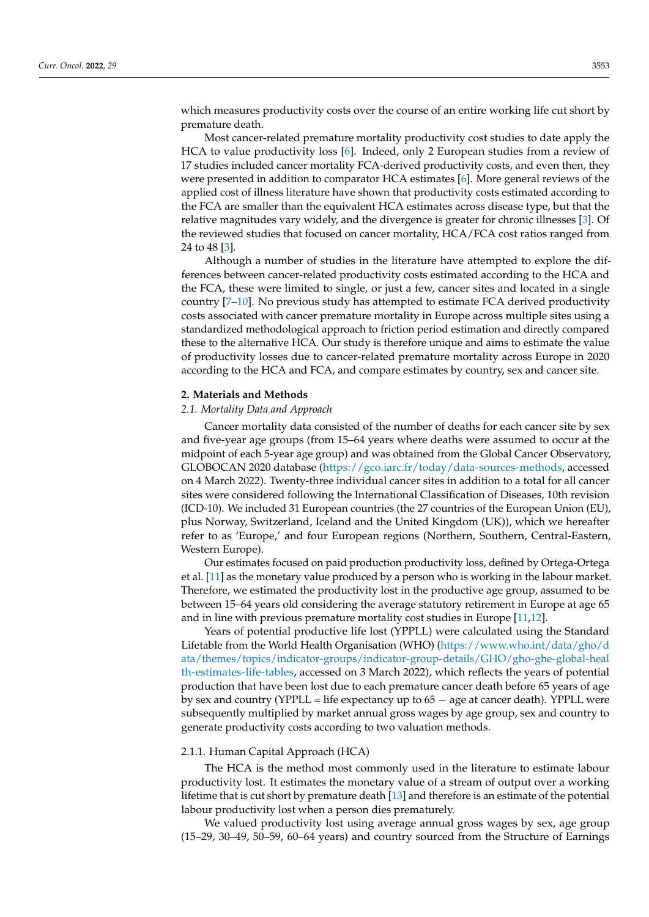which measures productivity costs over the course of an entire working life cut short by premature death.

Most cancer-related premature mortality productivity cost studies to date apply the HCA to value productivity loss [\[6\]](#page-12-0). Indeed, only 2 European studies from a review of 17 studies included cancer mortality FCA-derived productivity costs, and even then, they were presented in addition to comparator HCA estimates [\[6\]](#page-12-0). More general reviews of the applied cost of illness literature have shown that productivity costs estimated according to the FCA are smaller than the equivalent HCA estimates across disease type, but that the relative magnitudes vary widely, and the divergence is greater for chronic illnesses [\[3\]](#page-11-2). Of the reviewed studies that focused on cancer mortality, HCA/FCA cost ratios ranged from 24 to 48 [\[3\]](#page-11-2).

Although a number of studies in the literature have attempted to explore the differences between cancer-related productivity costs estimated according to the HCA and the FCA, these were limited to single, or just a few, cancer sites and located in a single country [\[7](#page-12-1)[–10\]](#page-12-2). No previous study has attempted to estimate FCA derived productivity costs associated with cancer premature mortality in Europe across multiple sites using a standardized methodological approach to friction period estimation and directly compared these to the alternative HCA. Our study is therefore unique and aims to estimate the value of productivity losses due to cancer-related premature mortality across Europe in 2020 according to the HCA and FCA, and compare estimates by country, sex and cancer site.

#### **2. Materials and Methods**

### *2.1. Mortality Data and Approach*

Cancer mortality data consisted of the number of deaths for each cancer site by sex and five-year age groups (from 15–64 years where deaths were assumed to occur at the midpoint of each 5-year age group) and was obtained from the Global Cancer Observatory, GLOBOCAN 2020 database [\(https://gco.iarc.fr/today/data-sources-methods,](https://gco.iarc.fr/today/data-sources-methods) accessed on 4 March 2022). Twenty-three individual cancer sites in addition to a total for all cancer sites were considered following the International Classification of Diseases, 10th revision (ICD-10). We included 31 European countries (the 27 countries of the European Union (EU), plus Norway, Switzerland, Iceland and the United Kingdom (UK)), which we hereafter refer to as 'Europe,' and four European regions (Northern, Southern, Central-Eastern, Western Europe).

Our estimates focused on paid production productivity loss, defined by Ortega-Ortega et al. [\[11\]](#page-12-3) as the monetary value produced by a person who is working in the labour market. Therefore, we estimated the productivity lost in the productive age group, assumed to be between 15–64 years old considering the average statutory retirement in Europe at age 65 and in line with previous premature mortality cost studies in Europe [\[11,](#page-12-3)[12\]](#page-12-4).

Years of potential productive life lost (YPPLL) were calculated using the Standard Lifetable from the World Health Organisation (WHO) [\(https://www.who.int/data/gho/d](https://www.who.int/data/gho/data/themes/topics/indicator-groups/indicator-group-details/GHO/gho-ghe-global-health-estimates-life-tables) [ata/themes/topics/indicator-groups/indicator-group-details/GHO/gho-ghe-global-heal](https://www.who.int/data/gho/data/themes/topics/indicator-groups/indicator-group-details/GHO/gho-ghe-global-health-estimates-life-tables) [th-estimates-life-tables,](https://www.who.int/data/gho/data/themes/topics/indicator-groups/indicator-group-details/GHO/gho-ghe-global-health-estimates-life-tables) accessed on 3 March 2022), which reflects the years of potential production that have been lost due to each premature cancer death before 65 years of age by sex and country (YPPLL = life expectancy up to 65 − age at cancer death). YPPLL were subsequently multiplied by market annual gross wages by age group, sex and country to generate productivity costs according to two valuation methods.

#### 2.1.1. Human Capital Approach (HCA)

The HCA is the method most commonly used in the literature to estimate labour productivity lost. It estimates the monetary value of a stream of output over a working lifetime that is cut short by premature death [\[13\]](#page-12-5) and therefore is an estimate of the potential labour productivity lost when a person dies prematurely.

We valued productivity lost using average annual gross wages by sex, age group (15–29, 30–49, 50–59, 60–64 years) and country sourced from the Structure of Earnings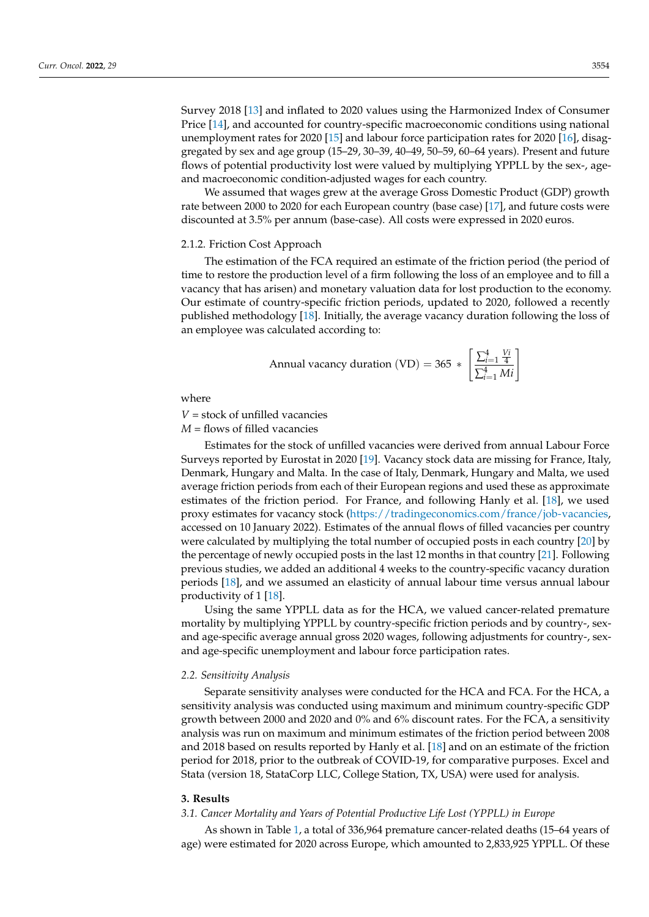Survey 2018 [\[13\]](#page-12-5) and inflated to 2020 values using the Harmonized Index of Consumer Price [\[14\]](#page-12-6), and accounted for country-specific macroeconomic conditions using national unemployment rates for 2020 [\[15\]](#page-12-7) and labour force participation rates for 2020 [\[16\]](#page-12-8), disaggregated by sex and age group (15–29, 30–39, 40–49, 50–59, 60–64 years). Present and future flows of potential productivity lost were valued by multiplying YPPLL by the sex-, ageand macroeconomic condition-adjusted wages for each country.

We assumed that wages grew at the average Gross Domestic Product (GDP) growth rate between 2000 to 2020 for each European country (base case) [\[17\]](#page-12-9), and future costs were discounted at 3.5% per annum (base-case). All costs were expressed in 2020 euros.

#### 2.1.2. Friction Cost Approach

The estimation of the FCA required an estimate of the friction period (the period of time to restore the production level of a firm following the loss of an employee and to fill a vacancy that has arisen) and monetary valuation data for lost production to the economy. Our estimate of country-specific friction periods, updated to 2020, followed a recently published methodology [\[18\]](#page-12-10). Initially, the average vacancy duration following the loss of an employee was calculated according to:

Annual vacancy duration (VD) = 365 \* 
$$
\left[\frac{\sum_{i=1}^{4} \frac{Vi}{4}}{\sum_{i=1}^{4} Mi}\right]
$$

where

*V* = stock of unfilled vacancies

*M* = flows of filled vacancies

Estimates for the stock of unfilled vacancies were derived from annual Labour Force Surveys reported by Eurostat in 2020 [\[19\]](#page-12-11). Vacancy stock data are missing for France, Italy, Denmark, Hungary and Malta. In the case of Italy, Denmark, Hungary and Malta, we used average friction periods from each of their European regions and used these as approximate estimates of the friction period. For France, and following Hanly et al. [\[18\]](#page-12-10), we used proxy estimates for vacancy stock [\(https://tradingeconomics.com/france/job-vacancies,](https://tradingeconomics.com/france/job-vacancies) accessed on 10 January 2022). Estimates of the annual flows of filled vacancies per country were calculated by multiplying the total number of occupied posts in each country [\[20\]](#page-12-12) by the percentage of newly occupied posts in the last 12 months in that country [\[21\]](#page-12-13). Following previous studies, we added an additional 4 weeks to the country-specific vacancy duration periods [\[18\]](#page-12-10), and we assumed an elasticity of annual labour time versus annual labour productivity of 1 [\[18\]](#page-12-10).

Using the same YPPLL data as for the HCA, we valued cancer-related premature mortality by multiplying YPPLL by country-specific friction periods and by country-, sexand age-specific average annual gross 2020 wages, following adjustments for country-, sexand age-specific unemployment and labour force participation rates.

#### *2.2. Sensitivity Analysis*

Separate sensitivity analyses were conducted for the HCA and FCA. For the HCA, a sensitivity analysis was conducted using maximum and minimum country-specific GDP growth between 2000 and 2020 and 0% and 6% discount rates. For the FCA, a sensitivity analysis was run on maximum and minimum estimates of the friction period between 2008 and 2018 based on results reported by Hanly et al. [\[18\]](#page-12-10) and on an estimate of the friction period for 2018, prior to the outbreak of COVID-19, for comparative purposes. Excel and Stata (version 18, StataCorp LLC, College Station, TX, USA) were used for analysis.

#### **3. Results**

### *3.1. Cancer Mortality and Years of Potential Productive Life Lost (YPPLL) in Europe*

As shown in Table [1,](#page-3-0) a total of 336,964 premature cancer-related deaths (15–64 years of age) were estimated for 2020 across Europe, which amounted to 2,833,925 YPPLL. Of these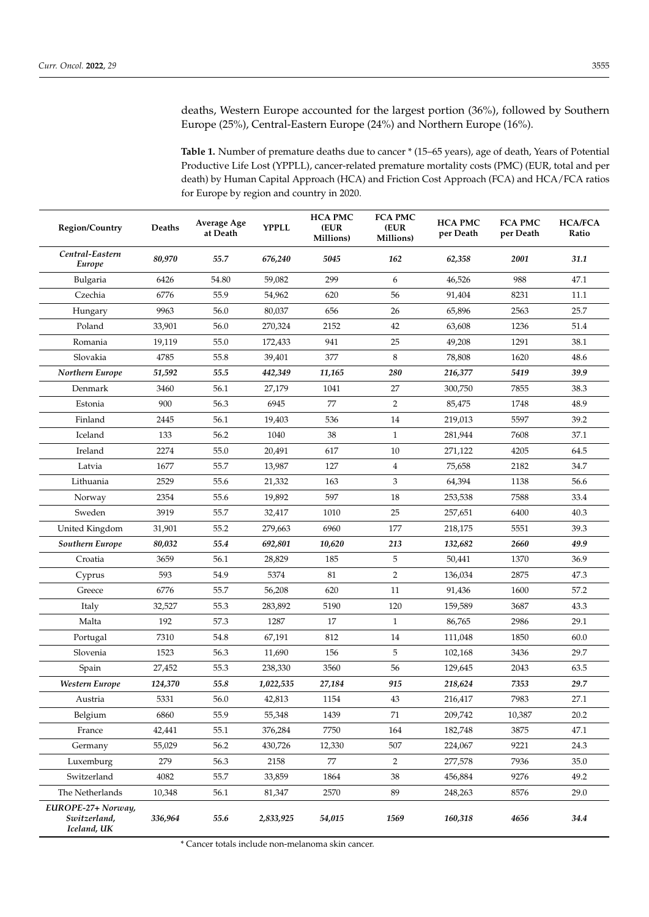deaths, Western Europe accounted for the largest portion (36%), followed by Southern Europe (25%), Central-Eastern Europe (24%) and Northern Europe (16%).

<span id="page-3-0"></span>**Table 1.** Number of premature deaths due to cancer \* (15–65 years), age of death, Years of Potential Productive Life Lost (YPPLL), cancer-related premature mortality costs (PMC) (EUR, total and per death) by Human Capital Approach (HCA) and Friction Cost Approach (FCA) and HCA/FCA ratios for Europe by region and country in 2020.

| Region/Country                                    | Deaths  | <b>Average Age</b><br>at Death | <b>YPPLL</b> | <b>HCA PMC</b><br>(EUR<br>Millions) | <b>FCA PMC</b><br>(EUR<br>Millions) | <b>HCA PMC</b><br>per Death | <b>FCA PMC</b><br>per Death | <b>HCA/FCA</b><br>Ratio |
|---------------------------------------------------|---------|--------------------------------|--------------|-------------------------------------|-------------------------------------|-----------------------------|-----------------------------|-------------------------|
| Central-Eastern<br>Europe                         | 80,970  | 55.7                           | 676,240      | 5045                                | 162                                 | 62,358                      | 2001                        | 31.1                    |
| Bulgaria                                          | 6426    | 54.80                          | 59,082       | 299                                 | 6                                   | 46,526                      | 988                         | 47.1                    |
| Czechia                                           | 6776    | 55.9                           | 54,962       | 620                                 | 56                                  | 91,404                      | 8231                        | 11.1                    |
| Hungary                                           | 9963    | 56.0                           | 80,037       | 656                                 | 26                                  | 65,896                      | 2563                        | 25.7                    |
| Poland                                            | 33,901  | 56.0                           | 270,324      | 2152                                | 42                                  | 63,608                      | 1236                        | 51.4                    |
| Romania                                           | 19,119  | 55.0                           | 172,433      | 941                                 | 25                                  | 49,208                      | 1291                        | 38.1                    |
| Slovakia                                          | 4785    | 55.8                           | 39,401       | 377                                 | 8                                   | 78,808                      | 1620                        | 48.6                    |
| Northern Europe                                   | 51,592  | 55.5                           | 442,349      | 11,165                              | 280                                 | 216,377                     | 5419                        | 39.9                    |
| Denmark                                           | 3460    | 56.1                           | 27,179       | 1041                                | 27                                  | 300,750                     | 7855                        | 38.3                    |
| Estonia                                           | 900     | 56.3                           | 6945         | 77                                  | $\overline{2}$                      | 85,475                      | 1748                        | 48.9                    |
| Finland                                           | 2445    | 56.1                           | 19,403       | 536                                 | 14                                  | 219,013                     | 5597                        | 39.2                    |
| Iceland                                           | 133     | 56.2                           | 1040         | 38                                  | $\mathbf{1}$                        | 281,944                     | 7608                        | 37.1                    |
| Ireland                                           | 2274    | 55.0                           | 20,491       | 617                                 | 10                                  | 271,122                     | 4205                        | 64.5                    |
| Latvia                                            | 1677    | 55.7                           | 13,987       | 127                                 | $\overline{4}$                      | 75,658                      | 2182                        | 34.7                    |
| Lithuania                                         | 2529    | 55.6                           | 21,332       | 163                                 | 3                                   | 64,394                      | 1138                        | 56.6                    |
| Norway                                            | 2354    | 55.6                           | 19,892       | 597                                 | 18                                  | 253,538                     | 7588                        | 33.4                    |
| Sweden                                            | 3919    | 55.7                           | 32,417       | 1010                                | 25                                  | 257,651                     | 6400                        | 40.3                    |
| United Kingdom                                    | 31,901  | 55.2                           | 279,663      | 6960                                | 177                                 | 218,175                     | 5551                        | 39.3                    |
| Southern Europe                                   | 80,032  | 55.4                           | 692,801      | 10,620                              | 213                                 | 132,682                     | 2660                        | 49.9                    |
| Croatia                                           | 3659    | 56.1                           | 28,829       | 185                                 | 5                                   | 50,441                      | 1370                        | 36.9                    |
| Cyprus                                            | 593     | 54.9                           | 5374         | 81                                  | $\overline{2}$                      | 136,034                     | 2875                        | 47.3                    |
| Greece                                            | 6776    | 55.7                           | 56,208       | 620                                 | 11                                  | 91,436                      | 1600                        | 57.2                    |
| Italy                                             | 32,527  | 55.3                           | 283,892      | 5190                                | 120                                 | 159,589                     | 3687                        | 43.3                    |
| Malta                                             | 192     | 57.3                           | 1287         | 17                                  | $\mathbf{1}$                        | 86,765                      | 2986                        | 29.1                    |
| Portugal                                          | 7310    | 54.8                           | 67,191       | 812                                 | 14                                  | 111,048                     | 1850                        | 60.0                    |
| Slovenia                                          | 1523    | 56.3                           | 11,690       | 156                                 | 5                                   | 102,168                     | 3436                        | 29.7                    |
| Spain                                             | 27,452  | 55.3                           | 238,330      | 3560                                | 56                                  | 129,645                     | 2043                        | 63.5                    |
| Western Europe                                    | 124,370 | 55.8                           | 1,022,535    | 27,184                              | 915                                 | 218,624                     | 7353                        | 29.7                    |
| Austria                                           | 5331    | 56.0                           | 42,813       | 1154                                | 43                                  | 216,417                     | 7983                        | 27.1                    |
| Belgium                                           | 6860    | 55.9                           | 55,348       | 1439                                | 71                                  | 209,742                     | 10,387                      | 20.2                    |
| France                                            | 42,441  | 55.1                           | 376,284      | 7750                                | 164                                 | 182,748                     | 3875                        | 47.1                    |
| Germany                                           | 55,029  | 56.2                           | 430,726      | 12,330                              | 507                                 | 224,067                     | 9221                        | 24.3                    |
| Luxemburg                                         | 279     | 56.3                           | 2158         | 77                                  | $\overline{2}$                      | 277,578                     | 7936                        | 35.0                    |
| Switzerland                                       | 4082    | 55.7                           | 33,859       | 1864                                | 38                                  | 456,884                     | 9276                        | 49.2                    |
| The Netherlands                                   | 10,348  | 56.1                           | 81,347       | 2570                                | 89                                  | 248,263                     | 8576                        | 29.0                    |
| EUROPE-27+ Norway,<br>Switzerland,<br>Iceland, UK | 336,964 | 55.6                           | 2,833,925    | 54,015                              | 1569                                | 160,318                     | 4656                        | 34.4                    |

\* Cancer totals include non-melanoma skin cancer.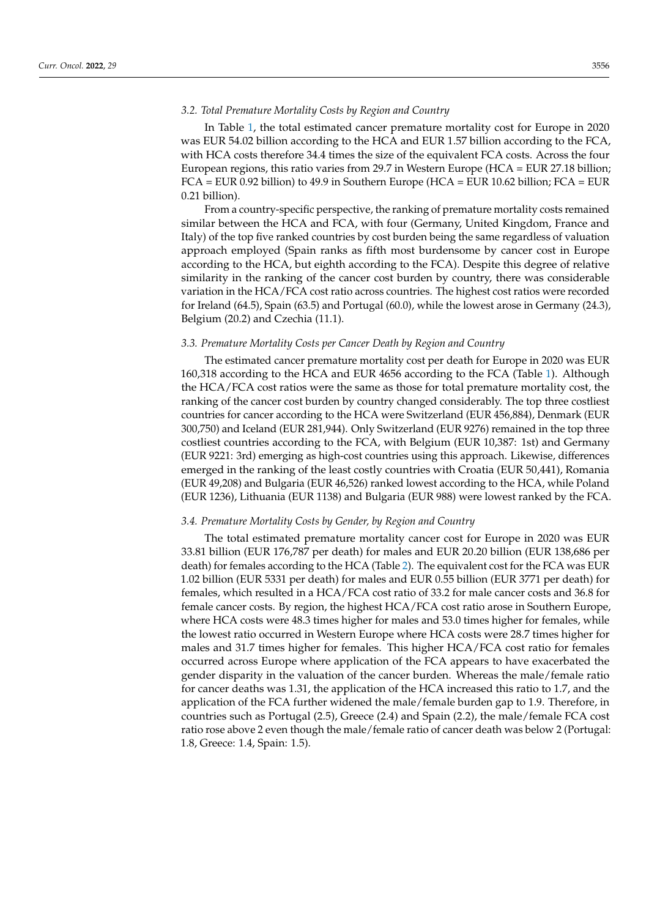#### *3.2. Total Premature Mortality Costs by Region and Country*

In Table [1,](#page-3-0) the total estimated cancer premature mortality cost for Europe in 2020 was EUR 54.02 billion according to the HCA and EUR 1.57 billion according to the FCA, with HCA costs therefore 34.4 times the size of the equivalent FCA costs. Across the four European regions, this ratio varies from 29.7 in Western Europe (HCA = EUR 27.18 billion; FCA = EUR 0.92 billion) to 49.9 in Southern Europe (HCA = EUR 10.62 billion; FCA = EUR 0.21 billion).

From a country-specific perspective, the ranking of premature mortality costs remained similar between the HCA and FCA, with four (Germany, United Kingdom, France and Italy) of the top five ranked countries by cost burden being the same regardless of valuation approach employed (Spain ranks as fifth most burdensome by cancer cost in Europe according to the HCA, but eighth according to the FCA). Despite this degree of relative similarity in the ranking of the cancer cost burden by country, there was considerable variation in the HCA/FCA cost ratio across countries. The highest cost ratios were recorded for Ireland (64.5), Spain (63.5) and Portugal (60.0), while the lowest arose in Germany (24.3), Belgium (20.2) and Czechia (11.1).

### *3.3. Premature Mortality Costs per Cancer Death by Region and Country*

The estimated cancer premature mortality cost per death for Europe in 2020 was EUR 160,318 according to the HCA and EUR 4656 according to the FCA (Table [1\)](#page-3-0). Although the HCA/FCA cost ratios were the same as those for total premature mortality cost, the ranking of the cancer cost burden by country changed considerably. The top three costliest countries for cancer according to the HCA were Switzerland (EUR 456,884), Denmark (EUR 300,750) and Iceland (EUR 281,944). Only Switzerland (EUR 9276) remained in the top three costliest countries according to the FCA, with Belgium (EUR 10,387: 1st) and Germany (EUR 9221: 3rd) emerging as high-cost countries using this approach. Likewise, differences emerged in the ranking of the least costly countries with Croatia (EUR 50,441), Romania (EUR 49,208) and Bulgaria (EUR 46,526) ranked lowest according to the HCA, while Poland (EUR 1236), Lithuania (EUR 1138) and Bulgaria (EUR 988) were lowest ranked by the FCA.

### *3.4. Premature Mortality Costs by Gender, by Region and Country*

The total estimated premature mortality cancer cost for Europe in 2020 was EUR 33.81 billion (EUR 176,787 per death) for males and EUR 20.20 billion (EUR 138,686 per death) for females according to the HCA (Table [2\)](#page-5-0). The equivalent cost for the FCA was EUR 1.02 billion (EUR 5331 per death) for males and EUR 0.55 billion (EUR 3771 per death) for females, which resulted in a HCA/FCA cost ratio of 33.2 for male cancer costs and 36.8 for female cancer costs. By region, the highest HCA/FCA cost ratio arose in Southern Europe, where HCA costs were 48.3 times higher for males and 53.0 times higher for females, while the lowest ratio occurred in Western Europe where HCA costs were 28.7 times higher for males and 31.7 times higher for females. This higher HCA/FCA cost ratio for females occurred across Europe where application of the FCA appears to have exacerbated the gender disparity in the valuation of the cancer burden. Whereas the male/female ratio for cancer deaths was 1.31, the application of the HCA increased this ratio to 1.7, and the application of the FCA further widened the male/female burden gap to 1.9. Therefore, in countries such as Portugal (2.5), Greece (2.4) and Spain (2.2), the male/female FCA cost ratio rose above 2 even though the male/female ratio of cancer death was below 2 (Portugal: 1.8, Greece: 1.4, Spain: 1.5).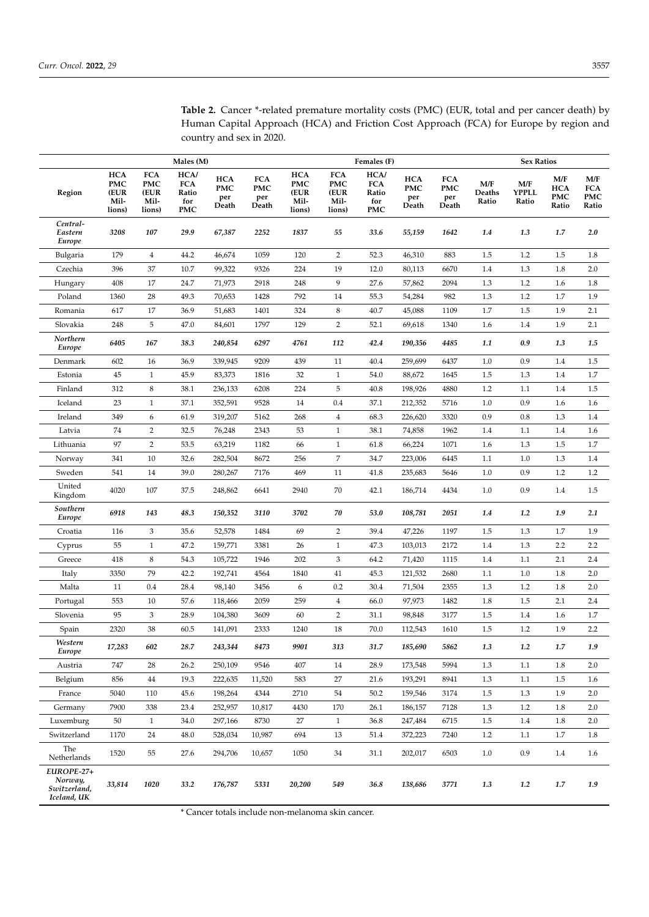|                                                      | Males (M)                                          |                                                    |                                                  | Females (F)                              |                                          |                                                    |                                                    |                                                  | <b>Sex Ratios</b>                        |                                          |                        |                              |                                          |                                   |
|------------------------------------------------------|----------------------------------------------------|----------------------------------------------------|--------------------------------------------------|------------------------------------------|------------------------------------------|----------------------------------------------------|----------------------------------------------------|--------------------------------------------------|------------------------------------------|------------------------------------------|------------------------|------------------------------|------------------------------------------|-----------------------------------|
| Region                                               | <b>HCA</b><br><b>PMC</b><br>(EUR<br>Mil-<br>lions) | <b>FCA</b><br><b>PMC</b><br>(EUR<br>Mil-<br>lions) | HCA/<br><b>FCA</b><br>Ratio<br>for<br><b>PMC</b> | <b>HCA</b><br><b>PMC</b><br>per<br>Death | <b>FCA</b><br><b>PMC</b><br>per<br>Death | <b>HCA</b><br><b>PMC</b><br>(EUR<br>Mil-<br>lions) | <b>FCA</b><br><b>PMC</b><br>(EUR<br>Mil-<br>lions) | HCA/<br><b>FCA</b><br>Ratio<br>for<br><b>PMC</b> | <b>HCA</b><br><b>PMC</b><br>per<br>Death | <b>FCA</b><br><b>PMC</b><br>per<br>Death | M/F<br>Deaths<br>Ratio | M/F<br><b>YPPLL</b><br>Ratio | M/F<br><b>HCA</b><br><b>PMC</b><br>Ratio | M/F<br><b>FCA</b><br>PMC<br>Ratio |
| Central-<br>Eastern<br>Europe                        | 3208                                               | 107                                                | 29.9                                             | 67,387                                   | 2252                                     | 1837                                               | 55                                                 | 33.6                                             | 55,159                                   | 1642                                     | 1.4                    | 1.3                          | 1.7                                      | 2.0                               |
| Bulgaria                                             | 179                                                | $\overline{4}$                                     | 44.2                                             | 46,674                                   | 1059                                     | 120                                                | 2                                                  | 52.3                                             | 46,310                                   | 883                                      | 1.5                    | 1.2                          | 1.5                                      | 1.8                               |
| Czechia                                              | 396                                                | 37                                                 | 10.7                                             | 99,322                                   | 9326                                     | 224                                                | 19                                                 | 12.0                                             | 80,113                                   | 6670                                     | 1.4                    | 1.3                          | 1.8                                      | 2.0                               |
| Hungary                                              | 408                                                | 17                                                 | 24.7                                             | 71,973                                   | 2918                                     | 248                                                | 9                                                  | 27.6                                             | 57,862                                   | 2094                                     | 1.3                    | 1.2                          | 1.6                                      | 1.8                               |
| Poland                                               | 1360                                               | 28                                                 | 49.3                                             | 70,653                                   | 1428                                     | 792                                                | 14                                                 | 55.3                                             | 54,284                                   | 982                                      | 1.3                    | 1.2                          | 1.7                                      | 1.9                               |
| Romania                                              | 617                                                | 17                                                 | 36.9                                             | 51,683                                   | 1401                                     | 324                                                | 8                                                  | 40.7                                             | 45,088                                   | 1109                                     | 1.7                    | 1.5                          | 1.9                                      | 2.1                               |
| Slovakia                                             | 248                                                | 5                                                  | 47.0                                             | 84,601                                   | 1797                                     | 129                                                | $\overline{2}$                                     | 52.1                                             | 69,618                                   | 1340                                     | 1.6                    | 1.4                          | 1.9                                      | 2.1                               |
| Northern<br>Europe                                   | 6405                                               | 167                                                | 38.3                                             | 240,854                                  | 6297                                     | 4761                                               | 112                                                | 42.4                                             | 190,356                                  | 4485                                     | 1.1                    | 0.9                          | 1.3                                      | 1.5                               |
| Denmark                                              | 602                                                | 16                                                 | 36.9                                             | 339,945                                  | 9209                                     | 439                                                | 11                                                 | 40.4                                             | 259,699                                  | 6437                                     | 1.0                    | 0.9                          | 1.4                                      | 1.5                               |
| Estonia                                              | 45                                                 | $\mathbf{1}$                                       | 45.9                                             | 83,373                                   | 1816                                     | 32                                                 | $\mathbf{1}$                                       | 54.0                                             | 88,672                                   | 1645                                     | 1.5                    | 1.3                          | 1.4                                      | 1.7                               |
| Finland                                              | 312                                                | $\,$ 8 $\,$                                        | 38.1                                             | 236,133                                  | 6208                                     | 224                                                | 5                                                  | 40.8                                             | 198,926                                  | 4880                                     | 1.2                    | 1.1                          | 1.4                                      | 1.5                               |
| Iceland                                              | 23                                                 | $\mathbf{1}$                                       | 37.1                                             | 352,591                                  | 9528                                     | 14                                                 | 0.4                                                | 37.1                                             | 212,352                                  | 5716                                     | 1.0                    | 0.9                          | 1.6                                      | 1.6                               |
| Ireland                                              | 349                                                | 6                                                  | 61.9                                             | 319,207                                  | 5162                                     | 268                                                | $\overline{4}$                                     | 68.3                                             | 226,620                                  | 3320                                     | 0.9                    | 0.8                          | 1.3                                      | 1.4                               |
| Latvia                                               | 74                                                 | $\overline{2}$                                     | 32.5                                             | 76,248                                   | 2343                                     | 53                                                 | $\mathbf{1}$                                       | 38.1                                             | 74,858                                   | 1962                                     | 1.4                    | 1.1                          | 1.4                                      | 1.6                               |
| Lithuania                                            | 97                                                 | $\overline{2}$                                     | 53.5                                             | 63,219                                   | 1182                                     | 66                                                 | $\mathbf{1}$                                       | 61.8                                             | 66,224                                   | 1071                                     | 1.6                    | 1.3                          | 1.5                                      | 1.7                               |
| Norway                                               | 341                                                | 10                                                 | 32.6                                             | 282,504                                  | 8672                                     | 256                                                | $\overline{7}$                                     | 34.7                                             | 223,006                                  | 6445                                     | 1.1                    | 1.0                          | 1.3                                      | 1.4                               |
| Sweden                                               | 541                                                | 14                                                 | 39.0                                             | 280,267                                  | 7176                                     | 469                                                | 11                                                 | 41.8                                             | 235,683                                  | 5646                                     | 1.0                    | 0.9                          | 1.2                                      | $1.2\,$                           |
| United<br>Kingdom                                    | 4020                                               | 107                                                | 37.5                                             | 248,862                                  | 6641                                     | 2940                                               | 70                                                 | 42.1                                             | 186,714                                  | 4434                                     | 1.0                    | 0.9                          | 1.4                                      | 1.5                               |
| Southern<br>Europe                                   | 6918                                               | 143                                                | 48.3                                             | 150,352                                  | 3110                                     | 3702                                               | 70                                                 | 53.0                                             | 108,781                                  | 2051                                     | 1.4                    | 1.2                          | 1.9                                      | 2.1                               |
| Croatia                                              | 116                                                | 3                                                  | 35.6                                             | 52,578                                   | 1484                                     | 69                                                 | $\overline{2}$                                     | 39.4                                             | 47,226                                   | 1197                                     | 1.5                    | 1.3                          | 1.7                                      | 1.9                               |
| Cyprus                                               | 55                                                 | $1\,$                                              | 47.2                                             | 159,771                                  | 3381                                     | 26                                                 | $\mathbf{1}$                                       | 47.3                                             | 103,013                                  | 2172                                     | 1.4                    | $1.3\,$                      | 2.2                                      | 2.2                               |
| Greece                                               | 418                                                | $\,$ 8 $\,$                                        | 54.3                                             | 105,722                                  | 1946                                     | 202                                                | 3                                                  | 64.2                                             | 71,420                                   | 1115                                     | 1.4                    | 1.1                          | 2.1                                      | 2.4                               |
| Italy                                                | 3350                                               | 79                                                 | 42.2                                             | 192,741                                  | 4564                                     | 1840                                               | 41                                                 | 45.3                                             | 121,532                                  | 2680                                     | 1.1                    | 1.0                          | 1.8                                      | 2.0                               |
| Malta                                                | 11                                                 | 0.4                                                | 28.4                                             | 98,140                                   | 3456                                     | 6                                                  | 0.2                                                | 30.4                                             | 71,504                                   | 2355                                     | 1.3                    | 1.2                          | 1.8                                      | 2.0                               |
| Portugal                                             | 553                                                | 10                                                 | 57.6                                             | 118,466                                  | 2059                                     | 259                                                | $\overline{4}$                                     | 66.0                                             | 97,973                                   | 1482                                     | 1.8                    | 1.5                          | 2.1                                      | 2.4                               |
| Slovenia                                             | 95                                                 | 3                                                  | 28.9                                             | 104,380                                  | 3609                                     | 60                                                 | $\overline{2}$                                     | 31.1                                             | 98,848                                   | 3177                                     | 1.5                    | 1.4                          | 1.6                                      | 1.7                               |
| Spain                                                | 2320                                               | 38                                                 | 60.5                                             | 141,091                                  | 2333                                     | 1240                                               | 18                                                 | 70.0                                             | 112,543                                  | 1610                                     | 1.5                    | 1.2                          | 1.9                                      | 2.2                               |
| Western<br>Europe                                    | 17,283                                             | 602                                                | 28.7                                             | 243,344                                  | 8473                                     | 9901                                               | 313                                                | 31.7                                             | 185,690                                  | 5862                                     | 1.3                    | 1.2                          | 1.7                                      | 1.9                               |
| Austria                                              | 747                                                | 28                                                 | 26.2                                             | 250,109                                  | 9546                                     | 407                                                | 14                                                 | 28.9                                             | 173,548                                  | 5994                                     | 1.3                    | 1.1                          | 1.8                                      | 2.0                               |
| Belgium                                              | 856                                                | 44                                                 | 19.3                                             | 222,635                                  | 11,520                                   | 583                                                | 27                                                 | 21.6                                             | 193,291                                  | 8941                                     | 1.3                    | $1.1\,$                      | 1.5                                      | 1.6                               |
| France                                               | 5040                                               | 110                                                | 45.6                                             | 198,264                                  | 4344                                     | 2710                                               | 54                                                 | 50.2                                             | 159,546                                  | 3174                                     | 1.5                    | 1.3                          | 1.9                                      | 2.0                               |
| Germany                                              | 7900                                               | 338                                                | 23.4                                             | 252,957                                  | 10,817                                   | 4430                                               | 170                                                | 26.1                                             | 186,157                                  | 7128                                     | 1.3                    | 1.2                          | 1.8                                      | 2.0                               |
| Luxemburg                                            | 50                                                 | $\mathbf{1}$                                       | 34.0                                             | 297,166                                  | 8730                                     | 27                                                 | $\mathbf{1}$                                       | 36.8                                             | 247,484                                  | 6715                                     | 1.5                    | 1.4                          | 1.8                                      | 2.0                               |
| Switzerland                                          | 1170                                               | 24                                                 | 48.0                                             | 528,034                                  | 10,987                                   | 694                                                | 13                                                 | 51.4                                             | 372,223                                  | 7240                                     | 1.2                    | 1.1                          | 1.7                                      | 1.8                               |
| The<br>Netherlands                                   | 1520                                               | 55                                                 | 27.6                                             | 294,706                                  | 10,657                                   | 1050                                               | 34                                                 | 31.1                                             | 202,017                                  | 6503                                     | 1.0                    | 0.9                          | 1.4                                      | 1.6                               |
| EUROPE-27+<br>Norway,<br>Switzerland,<br>Iceland, UK | 33,814                                             | 1020                                               | 33.2                                             | 176,787                                  | 5331                                     | 20,200                                             | 549                                                | 36.8                                             | 138,686                                  | 3771                                     | 1.3                    | 1.2                          | 1.7                                      | 1.9                               |

<span id="page-5-0"></span>**Table 2.** Cancer \*-related premature mortality costs (PMC) (EUR, total and per cancer death) by Human Capital Approach (HCA) and Friction Cost Approach (FCA) for Europe by region and country and sex in 2020.

\* Cancer totals include non-melanoma skin cancer.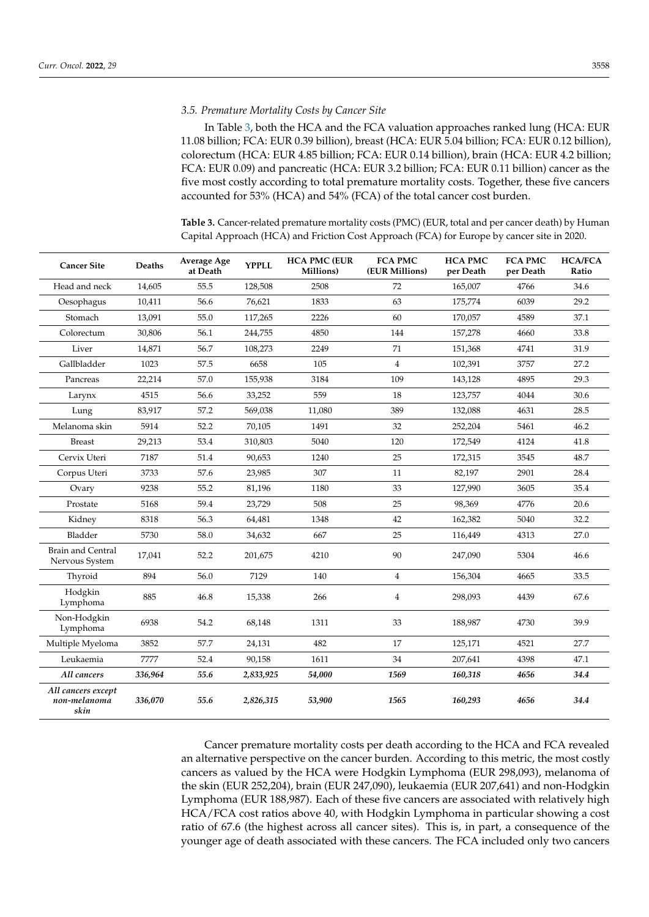#### *3.5. Premature Mortality Costs by Cancer Site*

In Table [3,](#page-6-0) both the HCA and the FCA valuation approaches ranked lung (HCA: EUR 11.08 billion; FCA: EUR 0.39 billion), breast (HCA: EUR 5.04 billion; FCA: EUR 0.12 billion), colorectum (HCA: EUR 4.85 billion; FCA: EUR 0.14 billion), brain (HCA: EUR 4.2 billion; FCA: EUR 0.09) and pancreatic (HCA: EUR 3.2 billion; FCA: EUR 0.11 billion) cancer as the five most costly according to total premature mortality costs. Together, these five cancers accounted for 53% (HCA) and 54% (FCA) of the total cancer cost burden.

<span id="page-6-0"></span>**Table 3.** Cancer-related premature mortality costs (PMC) (EUR, total and per cancer death) by Human Capital Approach (HCA) and Friction Cost Approach (FCA) for Europe by cancer site in 2020.

| <b>Cancer Site</b>                         | Deaths  | Average Age<br>at Death | <b>YPPLL</b> | <b>HCA PMC (EUR</b><br>Millions) | <b>FCA PMC</b><br>(EUR Millions) | <b>HCA PMC</b><br>per Death | <b>FCA PMC</b><br>per Death | <b>HCA/FCA</b><br>Ratio |
|--------------------------------------------|---------|-------------------------|--------------|----------------------------------|----------------------------------|-----------------------------|-----------------------------|-------------------------|
| Head and neck                              | 14,605  | 55.5                    | 128,508      | 2508                             | 72                               | 165,007                     | 4766                        | 34.6                    |
| Oesophagus                                 | 10,411  | 56.6                    | 76,621       | 1833                             | 63                               | 175,774                     | 6039                        | 29.2                    |
| Stomach                                    | 13,091  | 55.0                    | 117,265      | 2226                             | 60                               | 170,057                     | 4589                        | 37.1                    |
| Colorectum                                 | 30,806  | 56.1                    | 244,755      | 4850                             | 144                              | 157,278                     | 4660                        | 33.8                    |
| Liver                                      | 14,871  | 56.7                    | 108,273      | 2249                             | 71                               | 151,368                     | 4741                        | 31.9                    |
| Gallbladder                                | 1023    | 57.5                    | 6658         | 105                              | $\overline{4}$                   | 102,391                     | 3757                        | 27.2                    |
| Pancreas                                   | 22,214  | 57.0                    | 155,938      | 3184                             | 109                              | 143,128                     | 4895                        | 29.3                    |
| Larynx                                     | 4515    | 56.6                    | 33,252       | 559                              | 18                               | 123,757                     | 4044                        | 30.6                    |
| Lung                                       | 83,917  | 57.2                    | 569,038      | 11,080                           | 389                              | 132,088                     | 4631                        | 28.5                    |
| Melanoma skin                              | 5914    | 52.2                    | 70,105       | 1491                             | 32                               | 252,204                     | 5461                        | 46.2                    |
| <b>Breast</b>                              | 29,213  | 53.4                    | 310,803      | 5040                             | 120                              | 172,549                     | 4124                        | 41.8                    |
| Cervix Uteri                               | 7187    | 51.4                    | 90,653       | 1240                             | 25                               | 172,315                     | 3545                        | 48.7                    |
| Corpus Uteri                               | 3733    | 57.6                    | 23,985       | 307                              | 11                               | 82,197                      | 2901                        | 28.4                    |
| Ovary                                      | 9238    | 55.2                    | 81,196       | 1180                             | 33                               | 127,990                     | 3605                        | 35.4                    |
| Prostate                                   | 5168    | 59.4                    | 23,729       | 508                              | 25                               | 98,369                      | 4776                        | 20.6                    |
| Kidney                                     | 8318    | 56.3                    | 64,481       | 1348                             | 42                               | 162,382                     | 5040                        | 32.2                    |
| Bladder                                    | 5730    | 58.0                    | 34,632       | 667                              | 25                               | 116,449                     | 4313                        | 27.0                    |
| <b>Brain and Central</b><br>Nervous System | 17,041  | 52.2                    | 201,675      | 4210                             | 90                               | 247,090                     | 5304                        | 46.6                    |
| Thyroid                                    | 894     | 56.0                    | 7129         | 140                              | $\overline{4}$                   | 156,304                     | 4665                        | 33.5                    |
| Hodgkin<br>Lymphoma                        | 885     | 46.8                    | 15,338       | 266                              | 4                                | 298,093                     | 4439                        | 67.6                    |
| Non-Hodgkin<br>Lymphoma                    | 6938    | 54.2                    | 68,148       | 1311                             | 33                               | 188,987                     | 4730                        | 39.9                    |
| Multiple Myeloma                           | 3852    | 57.7                    | 24,131       | 482                              | 17                               | 125,171                     | 4521                        | 27.7                    |
| Leukaemia                                  | 7777    | 52.4                    | 90,158       | 1611                             | 34                               | 207,641                     | 4398                        | 47.1                    |
| All cancers                                | 336,964 | 55.6                    | 2,833,925    | 54,000                           | 1569                             | 160,318                     | 4656                        | 34.4                    |
| All cancers except<br>non-melanoma<br>skin | 336,070 | 55.6                    | 2,826,315    | 53,900                           | 1565                             | 160,293                     | 4656                        | 34.4                    |

Cancer premature mortality costs per death according to the HCA and FCA revealed an alternative perspective on the cancer burden. According to this metric, the most costly cancers as valued by the HCA were Hodgkin Lymphoma (EUR 298,093), melanoma of the skin (EUR 252,204), brain (EUR 247,090), leukaemia (EUR 207,641) and non-Hodgkin Lymphoma (EUR 188,987). Each of these five cancers are associated with relatively high HCA/FCA cost ratios above 40, with Hodgkin Lymphoma in particular showing a cost ratio of 67.6 (the highest across all cancer sites). This is, in part, a consequence of the younger age of death associated with these cancers. The FCA included only two cancers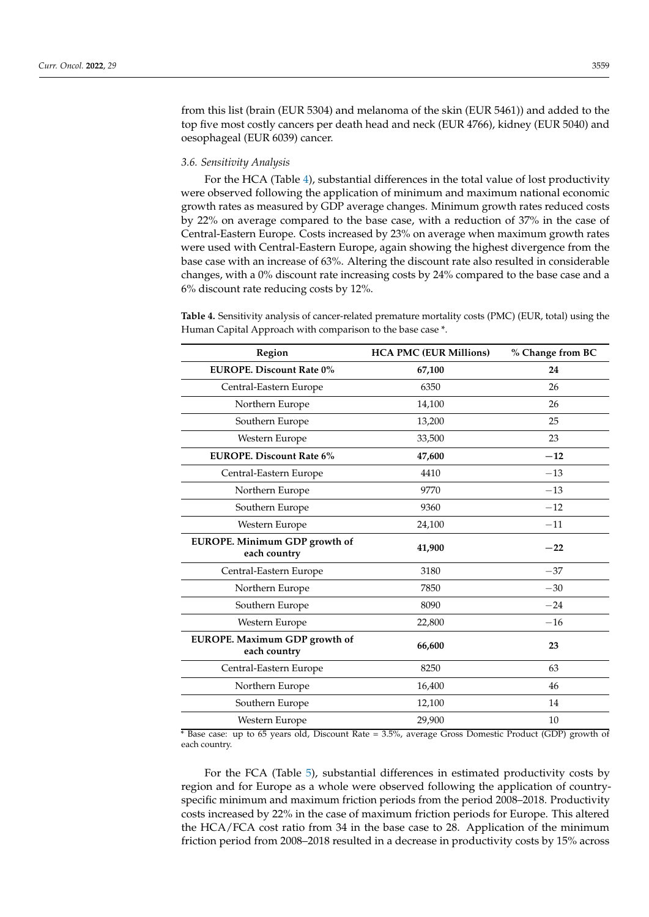from this list (brain (EUR 5304) and melanoma of the skin (EUR 5461)) and added to the top five most costly cancers per death head and neck (EUR 4766), kidney (EUR 5040) and oesophageal (EUR 6039) cancer.

## *3.6. Sensitivity Analysis*

For the HCA (Table [4\)](#page-7-0), substantial differences in the total value of lost productivity were observed following the application of minimum and maximum national economic growth rates as measured by GDP average changes. Minimum growth rates reduced costs by 22% on average compared to the base case, with a reduction of 37% in the case of Central-Eastern Europe. Costs increased by 23% on average when maximum growth rates were used with Central-Eastern Europe, again showing the highest divergence from the base case with an increase of 63%. Altering the discount rate also resulted in considerable changes, with a 0% discount rate increasing costs by 24% compared to the base case and a 6% discount rate reducing costs by 12%.

<span id="page-7-0"></span>**Table 4.** Sensitivity analysis of cancer-related premature mortality costs (PMC) (EUR, total) using the Human Capital Approach with comparison to the base case \*.

| Region                                        | <b>HCA PMC (EUR Millions)</b> | % Change from BC |
|-----------------------------------------------|-------------------------------|------------------|
| <b>EUROPE.</b> Discount Rate 0%               | 67,100                        | 24               |
| Central-Eastern Europe                        | 6350                          | 26               |
| Northern Europe                               | 14,100                        | 26               |
| Southern Europe                               | 13,200                        | 25               |
| Western Europe                                | 33,500                        | 23               |
| <b>EUROPE. Discount Rate 6%</b>               | 47,600                        | $-12$            |
| Central-Eastern Europe                        | 4410                          | $-13$            |
| Northern Europe                               | 9770                          | $-13$            |
| Southern Europe                               | 9360                          | $-12$            |
| Western Europe                                | 24,100                        | $-11$            |
| EUROPE. Minimum GDP growth of<br>each country | 41,900                        | $-22$            |
| Central-Eastern Europe                        | 3180                          | $-37$            |
| Northern Europe                               | 7850                          | $-30$            |
| Southern Europe                               | 8090                          | $-24$            |
| Western Europe                                | 22,800                        | $-16$            |
| EUROPE. Maximum GDP growth of<br>each country | 66,600                        | 23               |
| Central-Eastern Europe                        | 8250                          | 63               |
| Northern Europe                               | 16,400                        | 46               |
| Southern Europe                               | 12,100                        | 14               |
| Western Europe                                | 29,900                        | 10               |

\* Base case: up to 65 years old, Discount Rate = 3.5%, average Gross Domestic Product (GDP) growth of each country.

For the FCA (Table [5\)](#page-8-0), substantial differences in estimated productivity costs by region and for Europe as a whole were observed following the application of countryspecific minimum and maximum friction periods from the period 2008–2018. Productivity costs increased by 22% in the case of maximum friction periods for Europe. This altered the HCA/FCA cost ratio from 34 in the base case to 28. Application of the minimum friction period from 2008–2018 resulted in a decrease in productivity costs by 15% across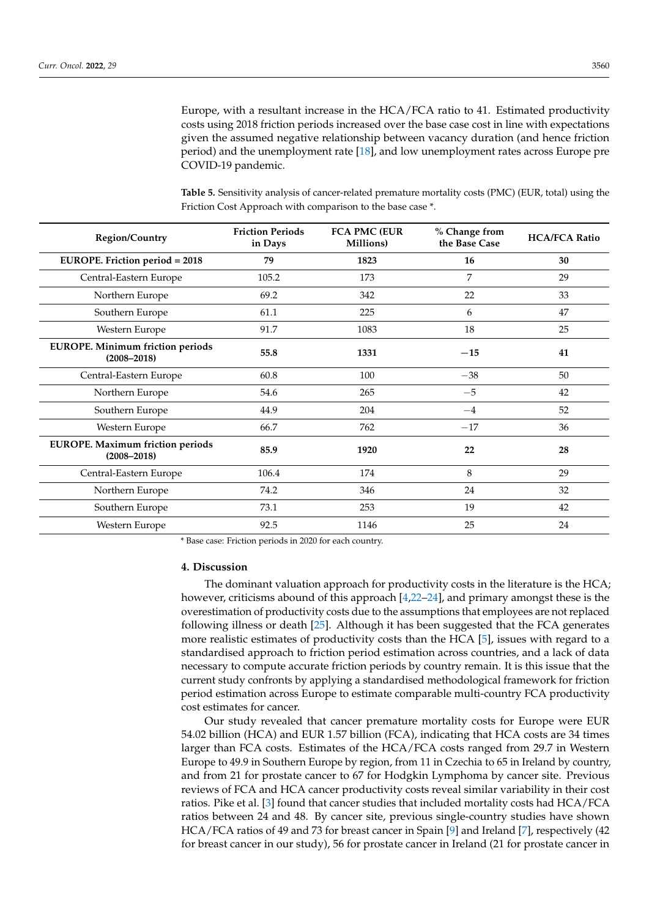Europe, with a resultant increase in the HCA/FCA ratio to 41. Estimated productivity costs using 2018 friction periods increased over the base case cost in line with expectations given the assumed negative relationship between vacancy duration (and hence friction period) and the unemployment rate [\[18\]](#page-12-10), and low unemployment rates across Europe pre COVID-19 pandemic.

<span id="page-8-0"></span>**Table 5.** Sensitivity analysis of cancer-related premature mortality costs (PMC) (EUR, total) using the Friction Cost Approach with comparison to the base case \*.

| Region/Country                                             | <b>Friction Periods</b><br>in Days | <b>FCA PMC (EUR</b><br>Millions) | % Change from<br>the Base Case | <b>HCA/FCA Ratio</b> |
|------------------------------------------------------------|------------------------------------|----------------------------------|--------------------------------|----------------------|
| <b>EUROPE.</b> Friction period = 2018                      | 79                                 | 1823                             | 16                             | 30                   |
| Central-Eastern Europe                                     | 105.2                              | 173                              | 7                              | 29                   |
| Northern Europe                                            | 69.2                               | 342                              | 22                             | 33                   |
| Southern Europe                                            | 61.1                               | 225                              | 6                              | 47                   |
| Western Europe                                             | 91.7                               | 1083                             | 18                             | 25                   |
| <b>EUROPE.</b> Minimum friction periods<br>$(2008 - 2018)$ | 55.8                               | 1331                             | $-15$                          | 41                   |
| Central-Eastern Europe                                     | 60.8                               | 100                              | $-38$                          | 50                   |
| Northern Europe                                            | 54.6                               | 265                              | $-5$                           | 42                   |
| Southern Europe                                            | 44.9                               | 204                              | $-4$                           | 52                   |
| Western Europe                                             | 66.7                               | 762                              | $-17$                          | 36                   |
| <b>EUROPE.</b> Maximum friction periods<br>$(2008 - 2018)$ | 85.9                               | 1920                             | 22                             | 28                   |
| Central-Eastern Europe                                     | 106.4                              | 174                              | 8                              | 29                   |
| Northern Europe                                            | 74.2                               | 346                              | 24                             | 32                   |
| Southern Europe                                            | 73.1                               | 253                              | 19                             | 42                   |
| Western Europe                                             | 92.5                               | 1146                             | 25                             | 24                   |

\* Base case: Friction periods in 2020 for each country.

#### **4. Discussion**

The dominant valuation approach for productivity costs in the literature is the HCA; however, criticisms abound of this approach [\[4,](#page-11-3)[22](#page-12-14)[–24\]](#page-12-15), and primary amongst these is the overestimation of productivity costs due to the assumptions that employees are not replaced following illness or death [\[25\]](#page-12-16). Although it has been suggested that the FCA generates more realistic estimates of productivity costs than the HCA [\[5\]](#page-11-4), issues with regard to a standardised approach to friction period estimation across countries, and a lack of data necessary to compute accurate friction periods by country remain. It is this issue that the current study confronts by applying a standardised methodological framework for friction period estimation across Europe to estimate comparable multi-country FCA productivity cost estimates for cancer.

Our study revealed that cancer premature mortality costs for Europe were EUR 54.02 billion (HCA) and EUR 1.57 billion (FCA), indicating that HCA costs are 34 times larger than FCA costs. Estimates of the HCA/FCA costs ranged from 29.7 in Western Europe to 49.9 in Southern Europe by region, from 11 in Czechia to 65 in Ireland by country, and from 21 for prostate cancer to 67 for Hodgkin Lymphoma by cancer site. Previous reviews of FCA and HCA cancer productivity costs reveal similar variability in their cost ratios. Pike et al. [\[3\]](#page-11-2) found that cancer studies that included mortality costs had HCA/FCA ratios between 24 and 48. By cancer site, previous single-country studies have shown HCA/FCA ratios of 49 and 73 for breast cancer in Spain [\[9\]](#page-12-17) and Ireland [\[7\]](#page-12-1), respectively (42 for breast cancer in our study), 56 for prostate cancer in Ireland (21 for prostate cancer in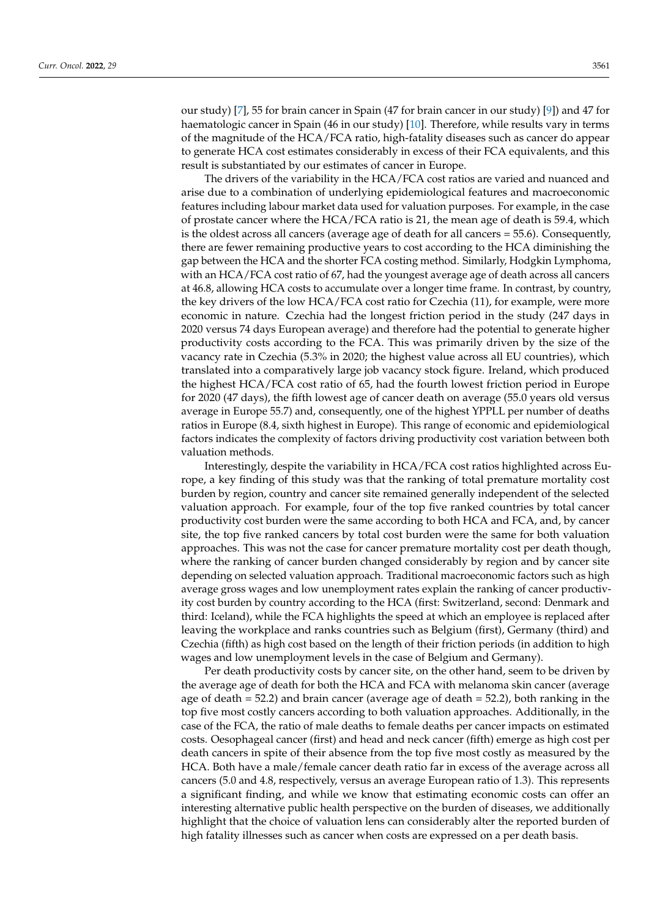our study) [\[7\]](#page-12-1), 55 for brain cancer in Spain (47 for brain cancer in our study) [\[9\]](#page-12-17)) and 47 for haematologic cancer in Spain (46 in our study) [\[10\]](#page-12-2). Therefore, while results vary in terms of the magnitude of the HCA/FCA ratio, high-fatality diseases such as cancer do appear to generate HCA cost estimates considerably in excess of their FCA equivalents, and this result is substantiated by our estimates of cancer in Europe.

The drivers of the variability in the HCA/FCA cost ratios are varied and nuanced and arise due to a combination of underlying epidemiological features and macroeconomic features including labour market data used for valuation purposes. For example, in the case of prostate cancer where the HCA/FCA ratio is 21, the mean age of death is 59.4, which is the oldest across all cancers (average age of death for all cancers = 55.6). Consequently, there are fewer remaining productive years to cost according to the HCA diminishing the gap between the HCA and the shorter FCA costing method. Similarly, Hodgkin Lymphoma, with an HCA/FCA cost ratio of 67, had the youngest average age of death across all cancers at 46.8, allowing HCA costs to accumulate over a longer time frame. In contrast, by country, the key drivers of the low HCA/FCA cost ratio for Czechia (11), for example, were more economic in nature. Czechia had the longest friction period in the study (247 days in 2020 versus 74 days European average) and therefore had the potential to generate higher productivity costs according to the FCA. This was primarily driven by the size of the vacancy rate in Czechia (5.3% in 2020; the highest value across all EU countries), which translated into a comparatively large job vacancy stock figure. Ireland, which produced the highest HCA/FCA cost ratio of 65, had the fourth lowest friction period in Europe for 2020 (47 days), the fifth lowest age of cancer death on average (55.0 years old versus average in Europe 55.7) and, consequently, one of the highest YPPLL per number of deaths ratios in Europe (8.4, sixth highest in Europe). This range of economic and epidemiological factors indicates the complexity of factors driving productivity cost variation between both valuation methods.

Interestingly, despite the variability in HCA/FCA cost ratios highlighted across Europe, a key finding of this study was that the ranking of total premature mortality cost burden by region, country and cancer site remained generally independent of the selected valuation approach. For example, four of the top five ranked countries by total cancer productivity cost burden were the same according to both HCA and FCA, and, by cancer site, the top five ranked cancers by total cost burden were the same for both valuation approaches. This was not the case for cancer premature mortality cost per death though, where the ranking of cancer burden changed considerably by region and by cancer site depending on selected valuation approach. Traditional macroeconomic factors such as high average gross wages and low unemployment rates explain the ranking of cancer productivity cost burden by country according to the HCA (first: Switzerland, second: Denmark and third: Iceland), while the FCA highlights the speed at which an employee is replaced after leaving the workplace and ranks countries such as Belgium (first), Germany (third) and Czechia (fifth) as high cost based on the length of their friction periods (in addition to high wages and low unemployment levels in the case of Belgium and Germany).

Per death productivity costs by cancer site, on the other hand, seem to be driven by the average age of death for both the HCA and FCA with melanoma skin cancer (average age of death  $= 52.2$ ) and brain cancer (average age of death  $= 52.2$ ), both ranking in the top five most costly cancers according to both valuation approaches. Additionally, in the case of the FCA, the ratio of male deaths to female deaths per cancer impacts on estimated costs. Oesophageal cancer (first) and head and neck cancer (fifth) emerge as high cost per death cancers in spite of their absence from the top five most costly as measured by the HCA. Both have a male/female cancer death ratio far in excess of the average across all cancers (5.0 and 4.8, respectively, versus an average European ratio of 1.3). This represents a significant finding, and while we know that estimating economic costs can offer an interesting alternative public health perspective on the burden of diseases, we additionally highlight that the choice of valuation lens can considerably alter the reported burden of high fatality illnesses such as cancer when costs are expressed on a per death basis.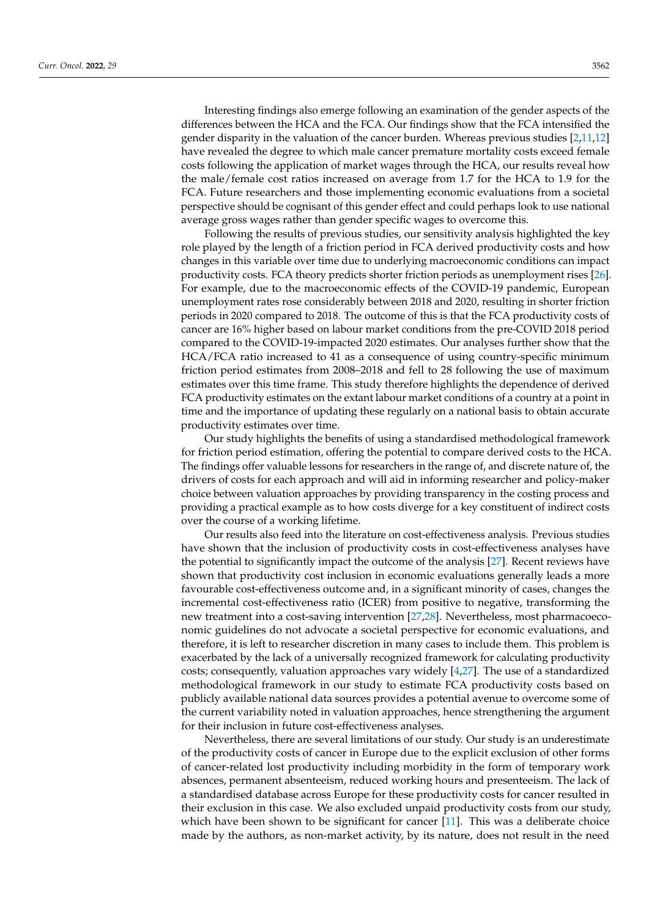Interesting findings also emerge following an examination of the gender aspects of the differences between the HCA and the FCA. Our findings show that the FCA intensified the gender disparity in the valuation of the cancer burden. Whereas previous studies [\[2,](#page-11-1)[11,](#page-12-3)[12\]](#page-12-4) have revealed the degree to which male cancer premature mortality costs exceed female costs following the application of market wages through the HCA, our results reveal how the male/female cost ratios increased on average from 1.7 for the HCA to 1.9 for the FCA. Future researchers and those implementing economic evaluations from a societal perspective should be cognisant of this gender effect and could perhaps look to use national average gross wages rather than gender specific wages to overcome this.

Following the results of previous studies, our sensitivity analysis highlighted the key role played by the length of a friction period in FCA derived productivity costs and how changes in this variable over time due to underlying macroeconomic conditions can impact productivity costs. FCA theory predicts shorter friction periods as unemployment rises [\[26\]](#page-12-18). For example, due to the macroeconomic effects of the COVID-19 pandemic, European unemployment rates rose considerably between 2018 and 2020, resulting in shorter friction periods in 2020 compared to 2018. The outcome of this is that the FCA productivity costs of cancer are 16% higher based on labour market conditions from the pre-COVID 2018 period compared to the COVID-19-impacted 2020 estimates. Our analyses further show that the HCA/FCA ratio increased to 41 as a consequence of using country-specific minimum friction period estimates from 2008–2018 and fell to 28 following the use of maximum estimates over this time frame. This study therefore highlights the dependence of derived FCA productivity estimates on the extant labour market conditions of a country at a point in time and the importance of updating these regularly on a national basis to obtain accurate productivity estimates over time.

Our study highlights the benefits of using a standardised methodological framework for friction period estimation, offering the potential to compare derived costs to the HCA. The findings offer valuable lessons for researchers in the range of, and discrete nature of, the drivers of costs for each approach and will aid in informing researcher and policy-maker choice between valuation approaches by providing transparency in the costing process and providing a practical example as to how costs diverge for a key constituent of indirect costs over the course of a working lifetime.

Our results also feed into the literature on cost-effectiveness analysis. Previous studies have shown that the inclusion of productivity costs in cost-effectiveness analyses have the potential to significantly impact the outcome of the analysis [\[27\]](#page-12-19). Recent reviews have shown that productivity cost inclusion in economic evaluations generally leads a more favourable cost-effectiveness outcome and, in a significant minority of cases, changes the incremental cost-effectiveness ratio (ICER) from positive to negative, transforming the new treatment into a cost-saving intervention [\[27,](#page-12-19)[28\]](#page-12-20). Nevertheless, most pharmacoeconomic guidelines do not advocate a societal perspective for economic evaluations, and therefore, it is left to researcher discretion in many cases to include them. This problem is exacerbated by the lack of a universally recognized framework for calculating productivity costs; consequently, valuation approaches vary widely [\[4,](#page-11-3)[27\]](#page-12-19). The use of a standardized methodological framework in our study to estimate FCA productivity costs based on publicly available national data sources provides a potential avenue to overcome some of the current variability noted in valuation approaches, hence strengthening the argument for their inclusion in future cost-effectiveness analyses.

Nevertheless, there are several limitations of our study. Our study is an underestimate of the productivity costs of cancer in Europe due to the explicit exclusion of other forms of cancer-related lost productivity including morbidity in the form of temporary work absences, permanent absenteeism, reduced working hours and presenteeism. The lack of a standardised database across Europe for these productivity costs for cancer resulted in their exclusion in this case. We also excluded unpaid productivity costs from our study, which have been shown to be significant for cancer [\[11\]](#page-12-3). This was a deliberate choice made by the authors, as non-market activity, by its nature, does not result in the need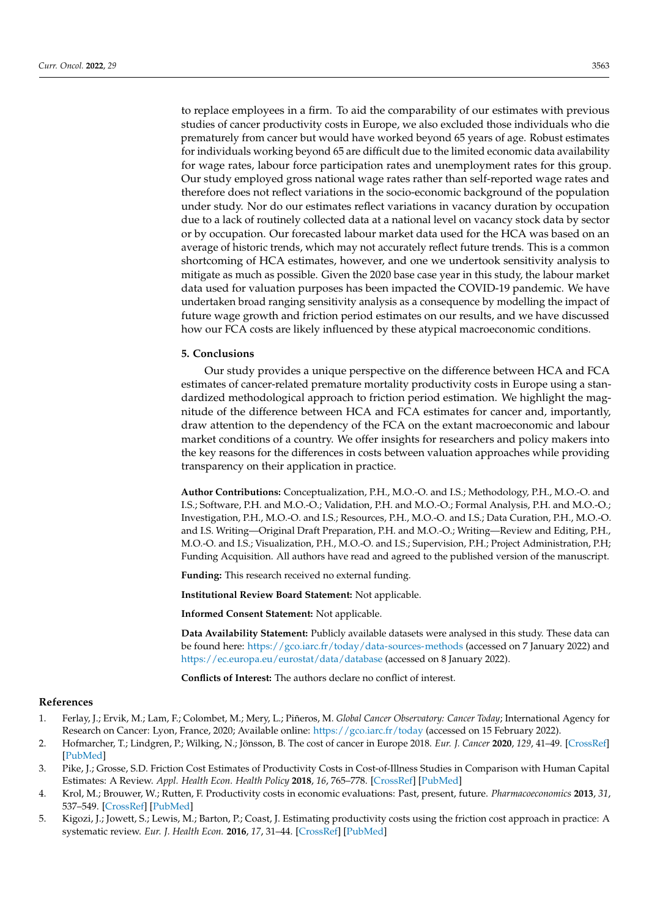to replace employees in a firm. To aid the comparability of our estimates with previous studies of cancer productivity costs in Europe, we also excluded those individuals who die prematurely from cancer but would have worked beyond 65 years of age. Robust estimates for individuals working beyond 65 are difficult due to the limited economic data availability for wage rates, labour force participation rates and unemployment rates for this group. Our study employed gross national wage rates rather than self-reported wage rates and therefore does not reflect variations in the socio-economic background of the population under study. Nor do our estimates reflect variations in vacancy duration by occupation due to a lack of routinely collected data at a national level on vacancy stock data by sector or by occupation. Our forecasted labour market data used for the HCA was based on an average of historic trends, which may not accurately reflect future trends. This is a common shortcoming of HCA estimates, however, and one we undertook sensitivity analysis to mitigate as much as possible. Given the 2020 base case year in this study, the labour market data used for valuation purposes has been impacted the COVID-19 pandemic. We have undertaken broad ranging sensitivity analysis as a consequence by modelling the impact of future wage growth and friction period estimates on our results, and we have discussed how our FCA costs are likely influenced by these atypical macroeconomic conditions.

## **5. Conclusions**

Our study provides a unique perspective on the difference between HCA and FCA estimates of cancer-related premature mortality productivity costs in Europe using a standardized methodological approach to friction period estimation. We highlight the magnitude of the difference between HCA and FCA estimates for cancer and, importantly, draw attention to the dependency of the FCA on the extant macroeconomic and labour market conditions of a country. We offer insights for researchers and policy makers into the key reasons for the differences in costs between valuation approaches while providing transparency on their application in practice.

**Author Contributions:** Conceptualization, P.H., M.O.-O. and I.S.; Methodology, P.H., M.O.-O. and I.S.; Software, P.H. and M.O.-O.; Validation, P.H. and M.O.-O.; Formal Analysis, P.H. and M.O.-O.; Investigation, P.H., M.O.-O. and I.S.; Resources, P.H., M.O.-O. and I.S.; Data Curation, P.H., M.O.-O. and I.S. Writing—Original Draft Preparation, P.H. and M.O.-O.; Writing—Review and Editing, P.H., M.O.-O. and I.S.; Visualization, P.H., M.O.-O. and I.S.; Supervision, P.H.; Project Administration, P.H; Funding Acquisition. All authors have read and agreed to the published version of the manuscript.

**Funding:** This research received no external funding.

**Institutional Review Board Statement:** Not applicable.

**Informed Consent Statement:** Not applicable.

**Data Availability Statement:** Publicly available datasets were analysed in this study. These data can be found here: <https://gco.iarc.fr/today/data-sources-methods> (accessed on 7 January 2022) and <https://ec.europa.eu/eurostat/data/database> (accessed on 8 January 2022).

**Conflicts of Interest:** The authors declare no conflict of interest.

#### **References**

- <span id="page-11-0"></span>1. Ferlay, J.; Ervik, M.; Lam, F.; Colombet, M.; Mery, L.; Piñeros, M. *Global Cancer Observatory: Cancer Today*; International Agency for Research on Cancer: Lyon, France, 2020; Available online: <https://gco.iarc.fr/today> (accessed on 15 February 2022).
- <span id="page-11-1"></span>2. Hofmarcher, T.; Lindgren, P.; Wilking, N.; Jönsson, B. The cost of cancer in Europe 2018. *Eur. J. Cancer* **2020**, *129*, 41–49. [\[CrossRef\]](http://doi.org/10.1016/j.ejca.2020.01.011) [\[PubMed\]](http://www.ncbi.nlm.nih.gov/pubmed/32120274)
- <span id="page-11-2"></span>3. Pike, J.; Grosse, S.D. Friction Cost Estimates of Productivity Costs in Cost-of-Illness Studies in Comparison with Human Capital Estimates: A Review. *Appl. Health Econ. Health Policy* **2018**, *16*, 765–778. [\[CrossRef\]](http://doi.org/10.1007/s40258-018-0416-4) [\[PubMed\]](http://www.ncbi.nlm.nih.gov/pubmed/30094591)
- <span id="page-11-3"></span>4. Krol, M.; Brouwer, W.; Rutten, F. Productivity costs in economic evaluations: Past, present, future. *Pharmacoeconomics* **2013**, *31*, 537–549. [\[CrossRef\]](http://doi.org/10.1007/s40273-013-0056-3) [\[PubMed\]](http://www.ncbi.nlm.nih.gov/pubmed/23620213)
- <span id="page-11-4"></span>5. Kigozi, J.; Jowett, S.; Lewis, M.; Barton, P.; Coast, J. Estimating productivity costs using the friction cost approach in practice: A systematic review. *Eur. J. Health Econ.* **2016**, *17*, 31–44. [\[CrossRef\]](http://doi.org/10.1007/s10198-014-0652-y) [\[PubMed\]](http://www.ncbi.nlm.nih.gov/pubmed/25387561)